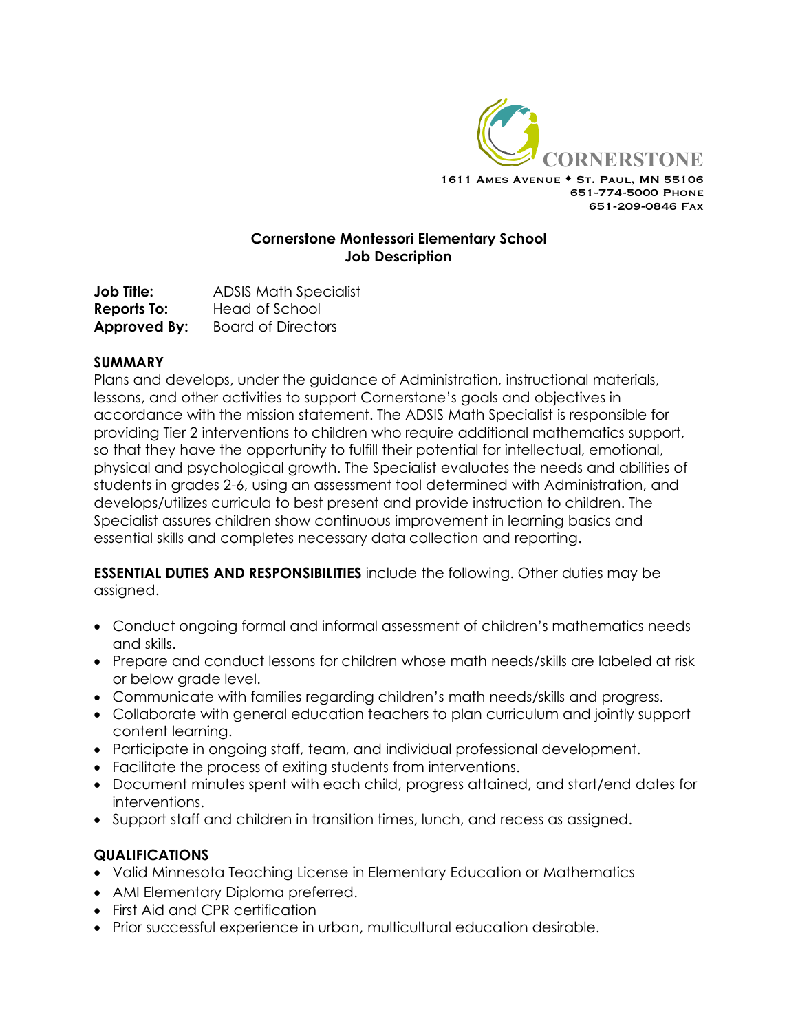

## **Cornerstone Montessori Elementary School Job Description**

**Job Title:** ADSIS Math Specialist **Reports To:** Head of School **Approved By:** Board of Directors

## **SUMMARY**

Plans and develops, under the guidance of Administration, instructional materials, lessons, and other activities to support Cornerstone's goals and objectives in accordance with the mission statement. The ADSIS Math Specialist is responsible for providing Tier 2 interventions to children who require additional mathematics support, so that they have the opportunity to fulfill their potential for intellectual, emotional, physical and psychological growth. The Specialist evaluates the needs and abilities of students in grades 2-6, using an assessment tool determined with Administration, and develops/utilizes curricula to best present and provide instruction to children. The Specialist assures children show continuous improvement in learning basics and essential skills and completes necessary data collection and reporting.

**ESSENTIAL DUTIES AND RESPONSIBILITIES** include the following. Other duties may be assigned.

- Conduct ongoing formal and informal assessment of children's mathematics needs and skills.
- Prepare and conduct lessons for children whose math needs/skills are labeled at risk or below grade level.
- Communicate with families regarding children's math needs/skills and progress.
- Collaborate with general education teachers to plan curriculum and jointly support content learning.
- Participate in ongoing staff, team, and individual professional development.
- Facilitate the process of exiting students from interventions.
- Document minutes spent with each child, progress attained, and start/end dates for interventions.
- Support staff and children in transition times, lunch, and recess as assigned.

## **QUALIFICATIONS**

- Valid Minnesota Teaching License in Elementary Education or Mathematics
- AMI Elementary Diploma preferred.
- First Aid and CPR certification
- Prior successful experience in urban, multicultural education desirable.